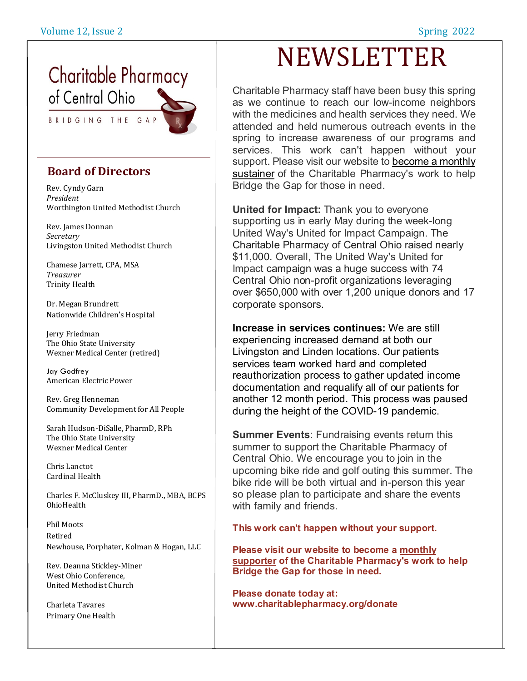## **Charitable Pharmacy** of Central Ohio

BRIDGING THE GAP

#### **Board of Directors**

Rev. Cyndy Garn *President* Worthington United Methodist Church

Rev. James Donnan *Secretary* Livingston United Methodist Church

Chamese Jarrett, CPA, MSA *Treasurer* Trinity Health

Dr. Megan Brundrett Nationwide Children's Hospital

Jerry Friedman The Ohio State University Wexner Medical Center (retired)

Jay Godfrey American Electric Power

Rev. Greg Henneman Community Development for All People

Sarah Hudson-DiSalle, PharmD, RPh The Ohio State University Wexner Medical Center

Chris Lanctot Cardinal Health

Charles F. McCluskey III, PharmD., MBA, BCPS OhioHealth

Phil Moots Retired Newhouse, Porphater, Kolman & Hogan, LLC

Rev. Deanna Stickley-Miner West Ohio Conference, United Methodist Church

Charleta Tavares Primary One Health

# NEWSLETTER

Charitable Pharmacy staff have been busy this spring as we continue to reach our low-income neighbors with the medicines and health services they need. We attended and held numerous outreach events in the spring to increase awareness of our programs and services. This work can't happen without your support. Please visit our website to [become](http://www.charitablepharmacy.org/donate) a monthly [sustainer](http://www.charitablepharmacy.org/donate) of the Charitable Pharmacy's work to help Bridge the Gap for those in need.

**United for Impact:** Thank you to everyone supporting us in early May during the week-long United Way's United for Impact Campaign. The Charitable Pharmacy of Central Ohio raised nearly \$11,000. Overall, The United Way's United for Impact campaign was a huge success with 74 Central Ohio non-profit organizations leveraging over \$650,000 with over 1,200 unique donors and 17 corporate sponsors.

**Increase in services continues:** We are still experiencing increased demand at both our Livingston and Linden locations. Our patients services team worked hard and completed reauthorization process to gather updated income documentation and requalify all of our patients for another 12 month period. This process was paused during the height of the COVID-19 pandemic.

**Summer Events**: Fundraising events return this summer to support the Charitable Pharmacy of Central Ohio. We encourage you to join in the upcoming bike ride and golf outing this summer. The bike ride will be both virtual and in-person this year so please plan to participate and share the events with family and friends.

**This work can't happen without your support.**

**Please visit our website to become a [monthly](https://interland3.donorperfect.net/weblink/weblink.aspx?name=E203442&id=3) [supporter](https://interland3.donorperfect.net/weblink/weblink.aspx?name=E203442&id=3) of the Charitable Pharmacy's work to help Bridge the Gap for those in need.**

**Please donate today at: www.charitablepharmacy.org/donate**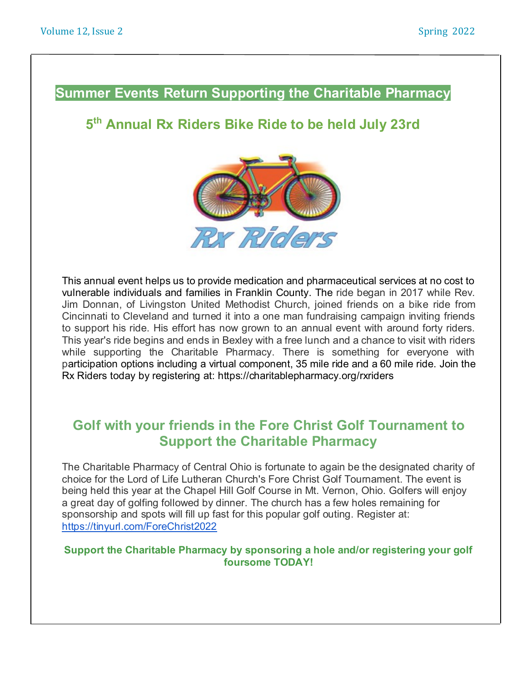#### **Summer Events Return Supporting the Charitable Pharmacy**

#### **5 th Annual Rx Riders Bike Ride to be held July 23rd**



This annual event helps us to provide medication and pharmaceutical services at no cost to vulnerable individuals and families in Franklin County. The ride began in 2017 while Rev. Jim Donnan, of Livingston United Methodist Church, joined friends on a bike ride from Cincinnati to Cleveland and turned it into a one man fundraising campaign inviting friends to support his ride. His effort has now grown to an annual event with around forty riders. This year's ride begins and ends in Bexley with a free lunch and a chance to visit with riders while supporting the Charitable Pharmacy. There is something for everyone with participation options including a virtual component, 35 mile ride and a 60 mile ride. Join the Rx Riders today by registering at: https://charitablepharmacy.org/rxriders

#### **Golf with your friends in the Fore Christ Golf Tournament to Support the Charitable Pharmacy**

The Charitable Pharmacy of Central Ohio is fortunate to again be the designated charity of choice for the Lord of Life Lutheran Church's Fore Christ Golf Tournament. The event is being held this year at the Chapel Hill Golf Course in Mt. Vernon, Ohio. Golfers will enjoy a great day of golfing followed by dinner. The church has a few holes remaining for sponsorship and spots will fill up fast for this popular golf outing. Register at: <https://tinyurl.com/ForeChrist2022>

#### **Support the Charitable Pharmacy by sponsoring a hole and/or registering your golf foursome TODAY!**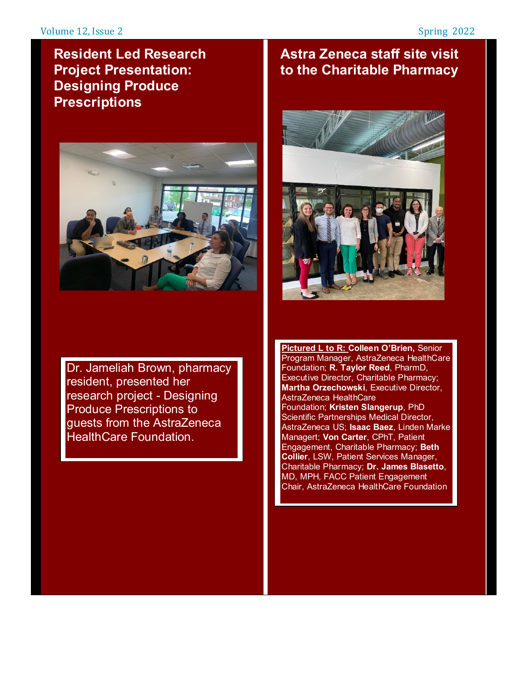## **Resident Led Research Project Presentation: Designing Produce Prescriptions**



Dr. Jameliah Brown, pharmacy resident, presented her research project - Designing Produce Prescriptions to guests from the AstraZeneca HealthCare Foundation.

## **Astra Zeneca staff site visit to the Charitable Pharmacy**



**Pictured L to R: Colleen O'Brien,** Senior Program Manager, AstraZeneca HealthCare Foundation; **R. Taylor Reed**, PharmD, Executive Director, Charitable Pharmacy; **Martha Orzechowski**, Executive Director, AstraZeneca HealthCare Foundation; **Kristen Slangerup**, PhD Scientific Partnerships Medical Director, AstraZeneca US; **Isaac Baez**, Linden Marke Managert; **Von Carter**, CPhT, Patient Engagement, Charitable Pharmacy; **Beth Collier**, LSW, Patient Services Manager, Charitable Pharmacy; **Dr. James Blasetto**, MD, MPH, FACC Patient Engagement Chair, AstraZeneca HealthCare Foundation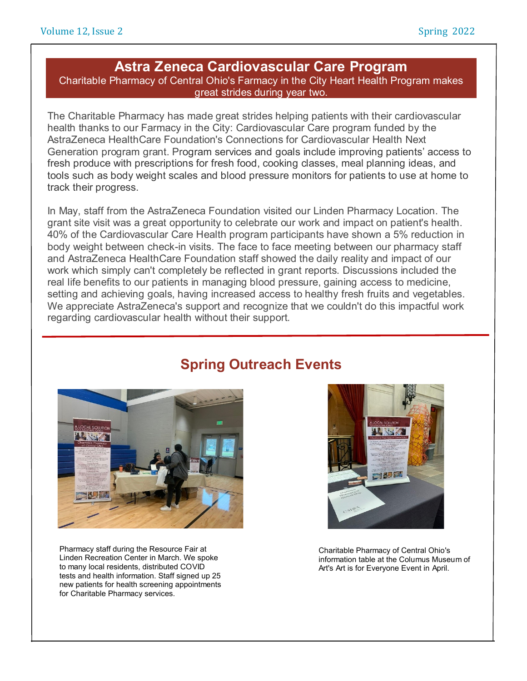#### **Astra Zeneca Cardiovascular Care Program**

Charitable Pharmacy of Central Ohio's Farmacy in the City Heart Health Program makes great strides during year two.

The Charitable Pharmacy has made great strides helping patients with their cardiovascular health thanks to our Farmacy in the City: Cardiovascular Care program funded by the AstraZeneca HealthCare Foundation's Connections for Cardiovascular Health Next Generation program grant. Program services and goals include improving patients' access to fresh produce with prescriptions for fresh food, cooking classes, meal planning ideas, and tools such as body weight scales and blood pressure monitors for patients to use at home to track their progress.

In May, staff from the AstraZeneca Foundation visited our Linden Pharmacy Location. The grant site visit was a great opportunity to celebrate our work and impact on patient's health. 40% of the Cardiovascular Care Health program participants have shown a 5% reduction in body weight between check-in visits. The face to face meeting between our pharmacy staff and AstraZeneca HealthCare Foundation staff showed the daily reality and impact of our work which simply can't completely be reflected in grant reports. Discussions included the real life benefits to our patients in managing blood pressure, gaining access to medicine, setting and achieving goals, having increased access to healthy fresh fruits and vegetables. We appreciate AstraZeneca's support and recognize that we couldn't do this impactful work regarding cardiovascular health without their support.



Pharmacy staff during the Resource Fair at Linden Recreation Center in March. We spoke to many local residents, distributed COVID tests and health information. Staff signed up 25 new patients for health screening appointments for Charitable Pharmacy services.

## **Spring Outreach Events**



Charitable Pharmacy of Central Ohio's information table at the Columus Museum of Art's Art is for Everyone Event in April.